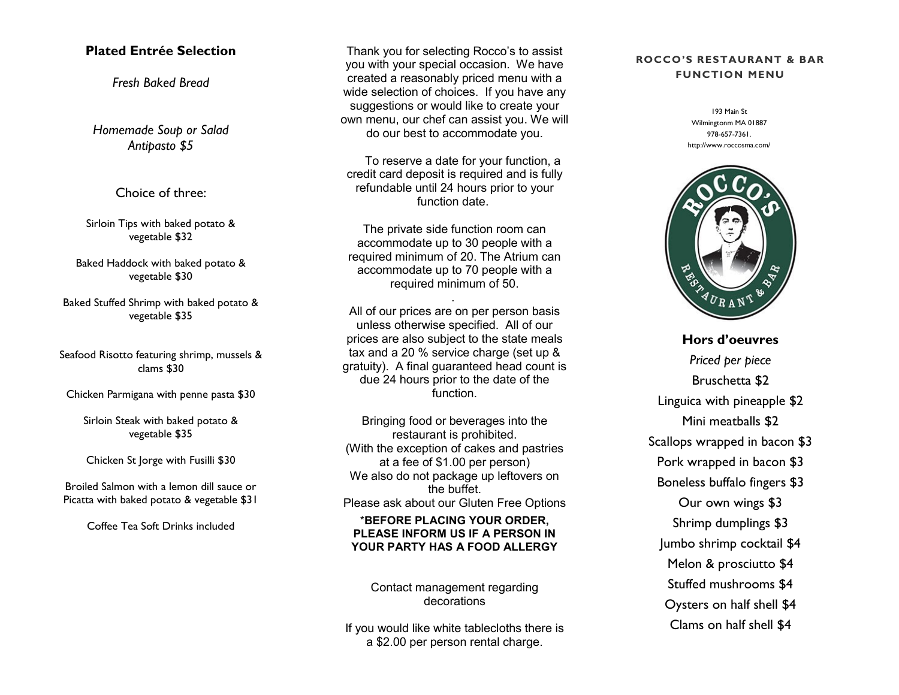## **Plated Entrée Selection**

*Fresh Baked Bread*

*Homemade Soup or Salad Antipasto \$5*

Choice of three:

Sirloin Tips with baked potato & vegetable \$32

Baked Haddock with baked potato & vegetable \$30

Baked Stuffed Shrimp with baked potato & vegetable \$35

Seafood Risotto featuring shrimp, mussels & clams \$30

Chicken Parmigana with penne pasta \$30

Sirloin Steak with baked potato & vegetable \$35

Chicken St Jorge with Fusilli \$30

Broiled Salmon with a lemon dill sauce or Picatta with baked potato & vegetable \$31

Coffee Tea Soft Drinks included

Thank you for selecting Rocco's to assist you with your special occasion. We have created a reasonably priced menu with a wide selection of choices. If you have any suggestions or would like to create your own menu, our chef can assist you. We will do our best to accommodate you.

 To reserve a date for your function, a credit card deposit is required and is fully refundable until 24 hours prior to your function date.

The private side function room can accommodate up to 30 people with a required minimum of 20. The Atrium can accommodate up to 70 people with a required minimum of 50.

.

All of our prices are on per person basis unless otherwise specified. All of our prices are also subject to the state meals tax and a 20 % service charge (set up & gratuity). A final guaranteed head count is due 24 hours prior to the date of the function.

Bringing food or beverages into the restaurant is prohibited. (With the exception of cakes and pastries at a fee of \$1.00 per person) We also do not package up leftovers on the buffet. Please ask about our Gluten Free Options

\***BEFORE PLACING YOUR ORDER, PLEASE INFORM US IF A PERSON IN YOUR PARTY HAS A FOOD ALLERGY**

Contact management regarding decorations

If you would like white tablecloths there is a \$2.00 per person rental charge.

## **ROCCO'S RESTAURANT & BAR FUNCTION MENU**

193 Main St Wilmingtonm MA 01887 978-657-7361. http://www.roccosma.com/



**Hors d'oeuvres** *Priced per piece* Bruschetta \$2 Linguica with pineapple \$2 Mini meatballs \$2 Scallops wrapped in bacon \$3 Pork wrapped in bacon \$3 Boneless buffalo fingers \$3 Our own wings \$3 Shrimp dumplings \$3 Jumbo shrimp cocktail \$4 Melon & prosciutto \$4 Stuffed mushrooms \$4 Oysters on half shell \$4 Clams on half shell \$4